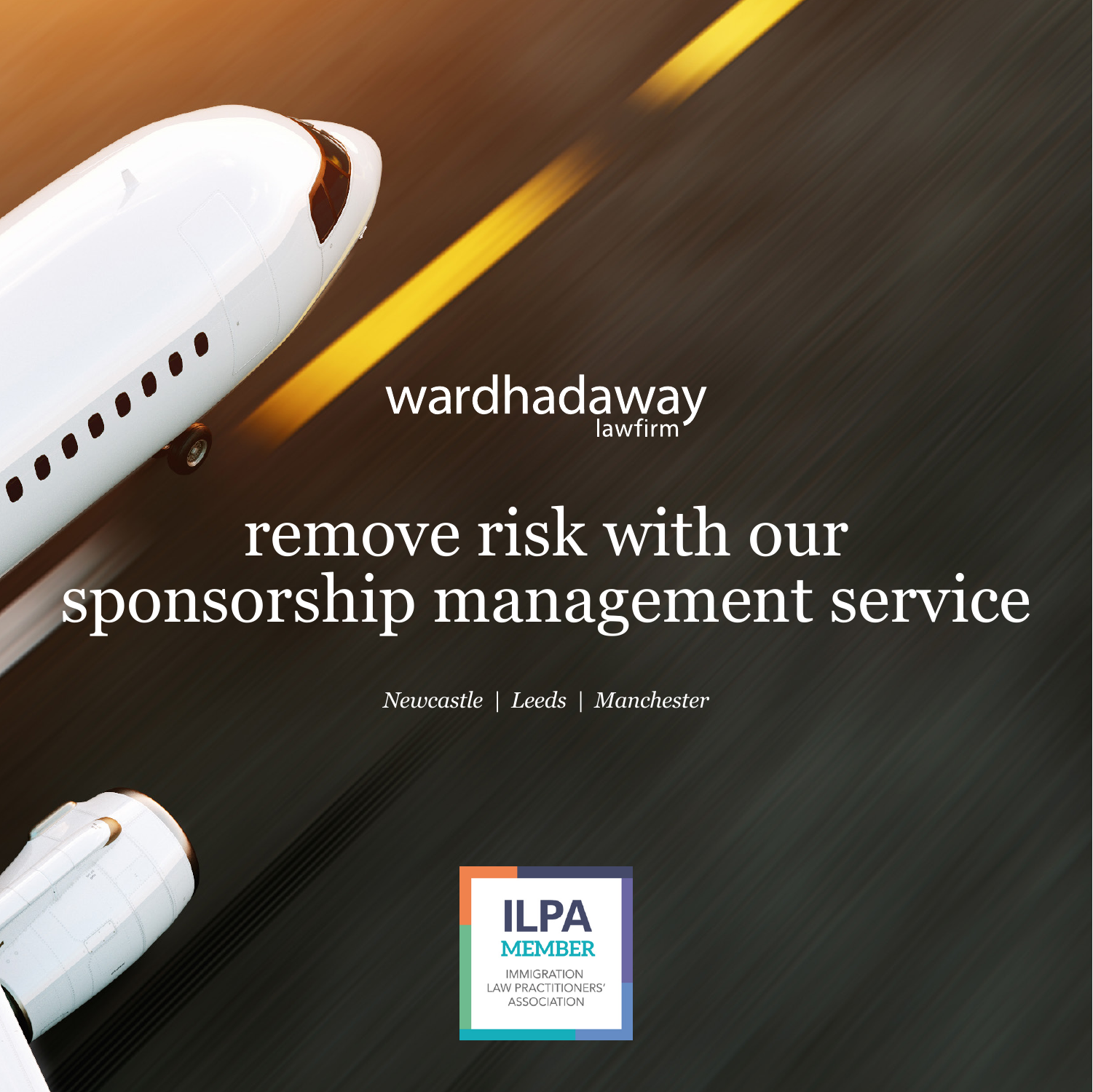# wardhadaway

......

## remove risk with our sponsorship management service

*Newcastle | Leeds | Manchester*

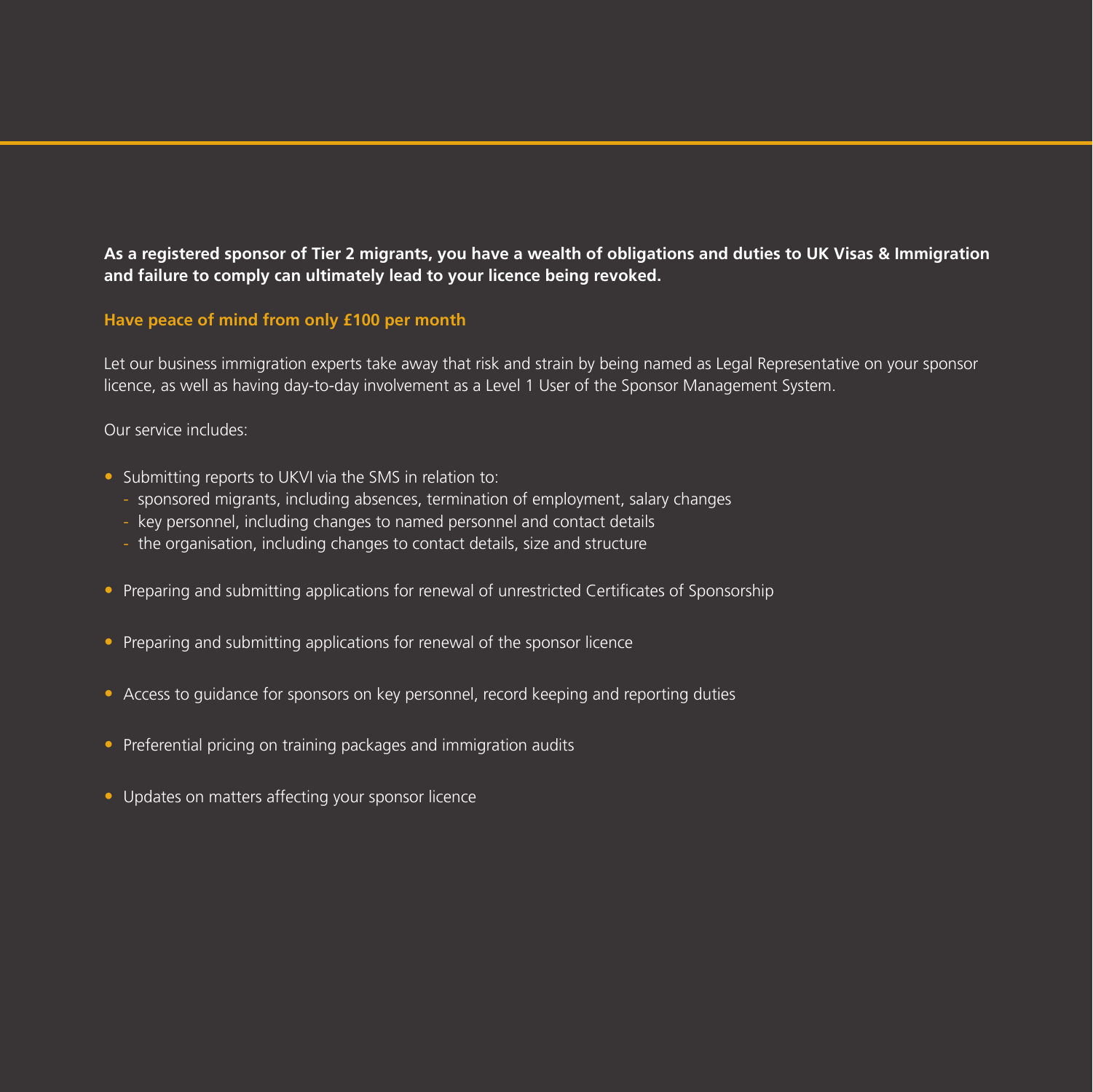**As a registered sponsor of Tier 2 migrants, you have a wealth of obligations and duties to UK Visas & Immigration and failure to comply can ultimately lead to your licence being revoked.**

#### **Have peace of mind from only £100 per month**

Let our business immigration experts take away that risk and strain by being named as Legal Representative on your sponsor licence, as well as having day-to-day involvement as a Level 1 User of the Sponsor Management System.

#### Our service includes:

- Submitting reports to UKVI via the SMS in relation to:
	- sponsored migrants, including absences, termination of employment, salary changes
	- key personnel, including changes to named personnel and contact details
	- the organisation, including changes to contact details, size and structure
- Preparing and submitting applications for renewal of unrestricted Certificates of Sponsorship
- Preparing and submitting applications for renewal of the sponsor licence
- Access to guidance for sponsors on key personnel, record keeping and reporting duties
- Preferential pricing on training packages and immigration audits
- Updates on matters affecting your sponsor licence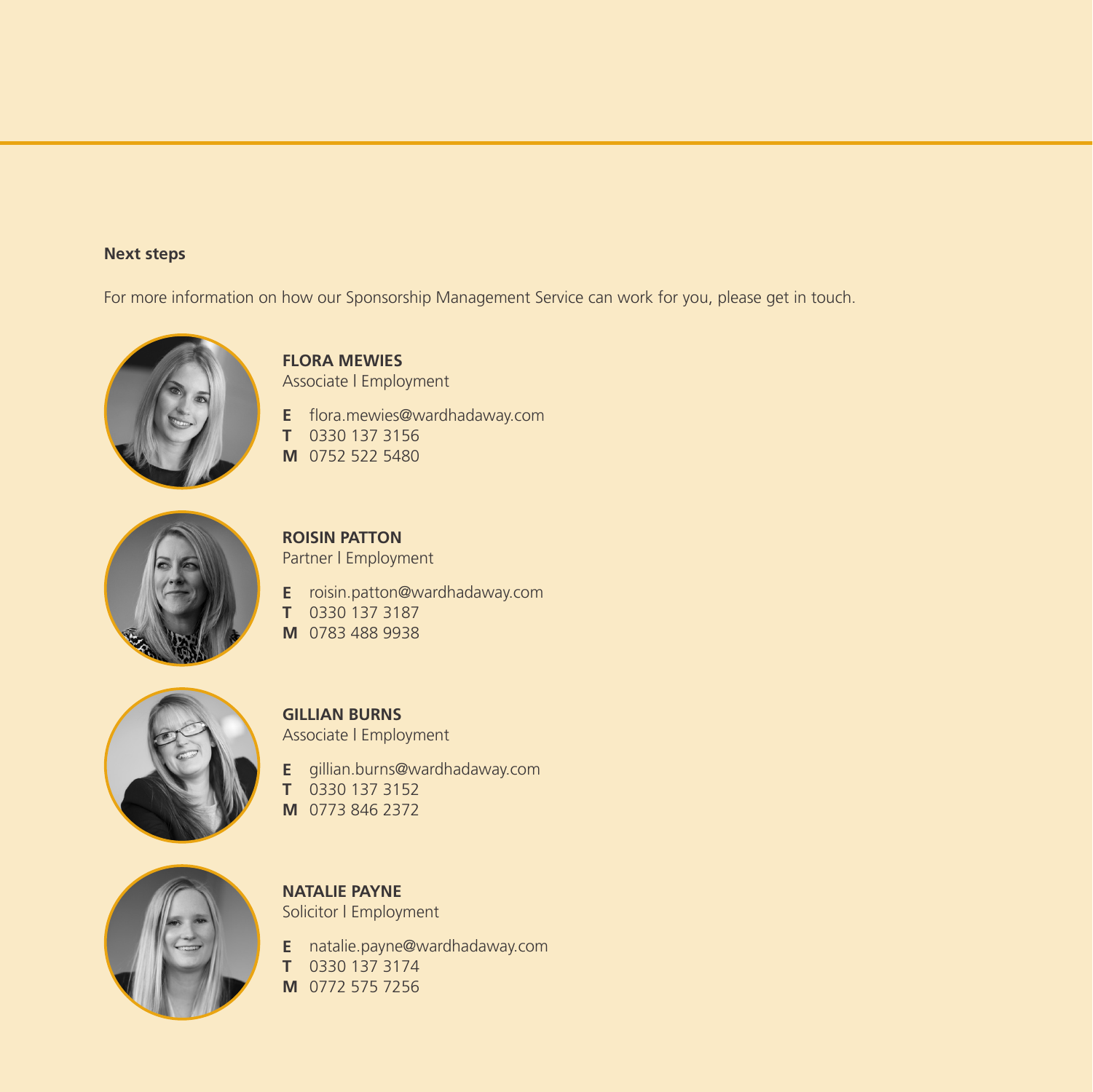### **Next steps**

For more information on how our Sponsorship Management Service can work for you, please get in touch.



**FLORA MEWIES** Associate | Employment

- **E** flora.mewies@wardhadaway.com
- **T** 0330 137 3156
- **M** 0752 522 5480



**ROISIN PATTON** Partner | Employment

- **E** roisin.patton@wardhadaway.com
- **T** 0330 137 3187
- **M** 0783 488 9938



**GILLIAN BURNS** Associate | Employment

**E** gillian.burn[s@wardhadaway.com](mailto:peter.byrne%40wardhadaway.com?subject=) **T** 0330 137 3152 **M** 0773 846 2372



**NATALIE PAYNE** Solicitor | Employment

**E** natalie.payne[@wardhadaway.com](mailto:peter.byrne%40wardhadaway.com?subject=) **T** 0330 137 3174 **M** 0772 575 7256